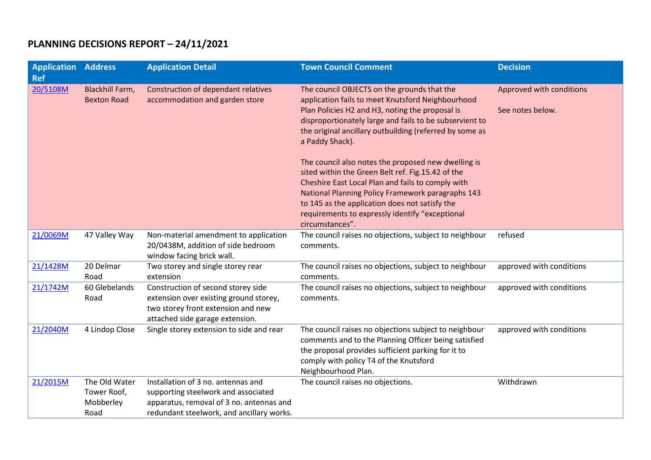# **PLANNING DECISIONS REPORT – 24/11/2021**

| <b>Application</b><br><b>Ref</b> | <b>Address</b>                                    | <b>Application Detail</b>                                                                                                                                          | <b>Town Council Comment</b>                                                                                                                                                                                                                                                                                                                | <b>Decision</b>                              |
|----------------------------------|---------------------------------------------------|--------------------------------------------------------------------------------------------------------------------------------------------------------------------|--------------------------------------------------------------------------------------------------------------------------------------------------------------------------------------------------------------------------------------------------------------------------------------------------------------------------------------------|----------------------------------------------|
| 20/5108M                         | Blackhill Farm,<br><b>Bexton Road</b>             | <b>Construction of dependant relatives</b><br>accommodation and garden store                                                                                       | The council OBJECTS on the grounds that the<br>application fails to meet Knutsford Neighbourhood<br>Plan Policies H2 and H3, noting the proposal is<br>disproportionately large and fails to be subservient to<br>the original ancillary outbuilding (referred by some as<br>a Paddy Shack).                                               | Approved with conditions<br>See notes below. |
|                                  |                                                   |                                                                                                                                                                    | The council also notes the proposed new dwelling is<br>sited within the Green Belt ref. Fig.15.42 of the<br>Cheshire East Local Plan and fails to comply with<br>National Planning Policy Framework paragraphs 143<br>to 145 as the application does not satisfy the<br>requirements to expressly identify "exceptional<br>circumstances". |                                              |
| 21/0069M                         | 47 Valley Way                                     | Non-material amendment to application<br>20/0438M, addition of side bedroom<br>window facing brick wall.                                                           | The council raises no objections, subject to neighbour<br>comments.                                                                                                                                                                                                                                                                        | refused                                      |
| 21/1428M                         | 20 Delmar<br>Road                                 | Two storey and single storey rear<br>extension                                                                                                                     | The council raises no objections, subject to neighbour<br>comments.                                                                                                                                                                                                                                                                        | approved with conditions                     |
| 21/1742M                         | 60 Glebelands<br>Road                             | Construction of second storey side<br>extension over existing ground storey,<br>two storey front extension and new<br>attached side garage extension.              | The council raises no objections, subject to neighbour<br>comments.                                                                                                                                                                                                                                                                        | approved with conditions                     |
| 21/2040M                         | 4 Lindop Close                                    | Single storey extension to side and rear                                                                                                                           | The council raises no objections subject to neighbour<br>comments and to the Planning Officer being satisfied<br>the proposal provides sufficient parking for it to<br>comply with policy T4 of the Knutsford<br>Neighbourhood Plan.                                                                                                       | approved with conditions                     |
| 21/2015M                         | The Old Water<br>Tower Roof,<br>Mobberley<br>Road | Installation of 3 no. antennas and<br>supporting steelwork and associated<br>apparatus, removal of 3 no. antennas and<br>redundant steelwork, and ancillary works. | The council raises no objections.                                                                                                                                                                                                                                                                                                          | Withdrawn                                    |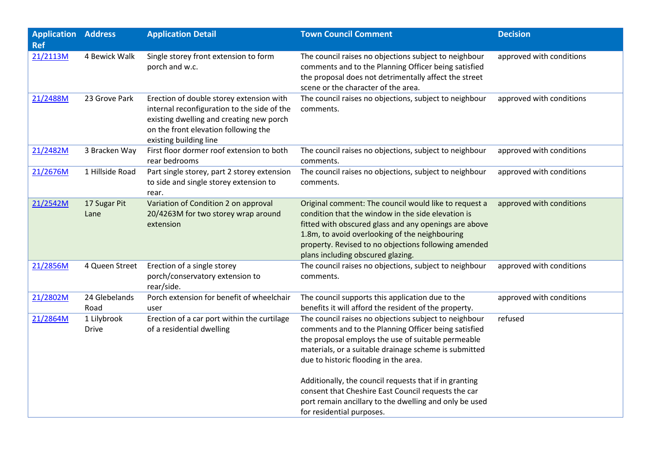| <b>Application Address</b><br><b>Ref</b> |                             | <b>Application Detail</b>                                                                                                                                                                             | <b>Town Council Comment</b>                                                                                                                                                                                                                                                                                                                                                                                                                                                   | <b>Decision</b>          |
|------------------------------------------|-----------------------------|-------------------------------------------------------------------------------------------------------------------------------------------------------------------------------------------------------|-------------------------------------------------------------------------------------------------------------------------------------------------------------------------------------------------------------------------------------------------------------------------------------------------------------------------------------------------------------------------------------------------------------------------------------------------------------------------------|--------------------------|
| 21/2113M                                 | 4 Bewick Walk               | Single storey front extension to form<br>porch and w.c.                                                                                                                                               | The council raises no objections subject to neighbour<br>comments and to the Planning Officer being satisfied<br>the proposal does not detrimentally affect the street<br>scene or the character of the area.                                                                                                                                                                                                                                                                 | approved with conditions |
| 21/2488M                                 | 23 Grove Park               | Erection of double storey extension with<br>internal reconfiguration to the side of the<br>existing dwelling and creating new porch<br>on the front elevation following the<br>existing building line | The council raises no objections, subject to neighbour<br>comments.                                                                                                                                                                                                                                                                                                                                                                                                           | approved with conditions |
| 21/2482M                                 | 3 Bracken Way               | First floor dormer roof extension to both<br>rear bedrooms                                                                                                                                            | The council raises no objections, subject to neighbour<br>comments.                                                                                                                                                                                                                                                                                                                                                                                                           | approved with conditions |
| 21/2676M                                 | 1 Hillside Road             | Part single storey, part 2 storey extension<br>to side and single storey extension to<br>rear.                                                                                                        | The council raises no objections, subject to neighbour<br>comments.                                                                                                                                                                                                                                                                                                                                                                                                           | approved with conditions |
| 21/2542M                                 | 17 Sugar Pit<br>Lane        | Variation of Condition 2 on approval<br>20/4263M for two storey wrap around<br>extension                                                                                                              | Original comment: The council would like to request a<br>condition that the window in the side elevation is<br>fitted with obscured glass and any openings are above<br>1.8m, to avoid overlooking of the neighbouring<br>property. Revised to no objections following amended<br>plans including obscured glazing.                                                                                                                                                           | approved with conditions |
| 21/2856M                                 | 4 Queen Street              | Erection of a single storey<br>porch/conservatory extension to<br>rear/side.                                                                                                                          | The council raises no objections, subject to neighbour<br>comments.                                                                                                                                                                                                                                                                                                                                                                                                           | approved with conditions |
| 21/2802M                                 | 24 Glebelands<br>Road       | Porch extension for benefit of wheelchair<br>user                                                                                                                                                     | The council supports this application due to the<br>benefits it will afford the resident of the property.                                                                                                                                                                                                                                                                                                                                                                     | approved with conditions |
| 21/2864M                                 | 1 Lilybrook<br><b>Drive</b> | Erection of a car port within the curtilage<br>of a residential dwelling                                                                                                                              | The council raises no objections subject to neighbour<br>comments and to the Planning Officer being satisfied<br>the proposal employs the use of suitable permeable<br>materials, or a suitable drainage scheme is submitted<br>due to historic flooding in the area.<br>Additionally, the council requests that if in granting<br>consent that Cheshire East Council requests the car<br>port remain ancillary to the dwelling and only be used<br>for residential purposes. | refused                  |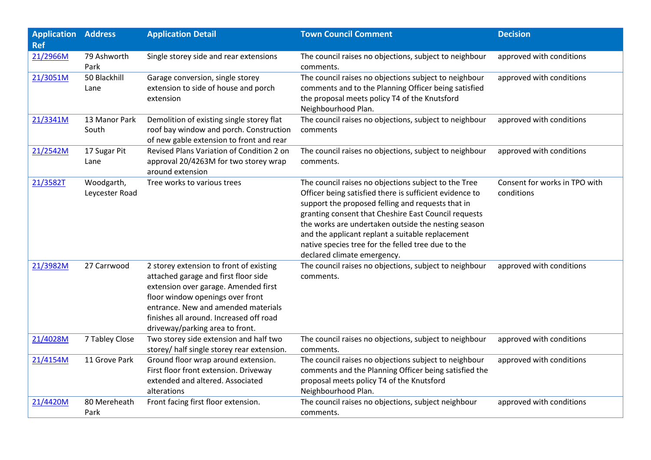| <b>Application Address</b><br><b>Ref</b> |                              | <b>Application Detail</b>                                                                                                                                                                                                                                                        | <b>Town Council Comment</b>                                                                                                                                                                                                                                                                                                                                                                                                  | <b>Decision</b>                             |
|------------------------------------------|------------------------------|----------------------------------------------------------------------------------------------------------------------------------------------------------------------------------------------------------------------------------------------------------------------------------|------------------------------------------------------------------------------------------------------------------------------------------------------------------------------------------------------------------------------------------------------------------------------------------------------------------------------------------------------------------------------------------------------------------------------|---------------------------------------------|
| 21/2966M                                 | 79 Ashworth<br>Park          | Single storey side and rear extensions                                                                                                                                                                                                                                           | The council raises no objections, subject to neighbour<br>comments.                                                                                                                                                                                                                                                                                                                                                          | approved with conditions                    |
| 21/3051M                                 | 50 Blackhill<br>Lane         | Garage conversion, single storey<br>extension to side of house and porch<br>extension                                                                                                                                                                                            | The council raises no objections subject to neighbour<br>comments and to the Planning Officer being satisfied<br>the proposal meets policy T4 of the Knutsford<br>Neighbourhood Plan.                                                                                                                                                                                                                                        | approved with conditions                    |
| 21/3341M                                 | 13 Manor Park<br>South       | Demolition of existing single storey flat<br>roof bay window and porch. Construction<br>of new gable extension to front and rear                                                                                                                                                 | The council raises no objections, subject to neighbour<br>comments                                                                                                                                                                                                                                                                                                                                                           | approved with conditions                    |
| 21/2542M                                 | 17 Sugar Pit<br>Lane         | Revised Plans Variation of Condition 2 on<br>approval 20/4263M for two storey wrap<br>around extension                                                                                                                                                                           | The council raises no objections, subject to neighbour<br>comments.                                                                                                                                                                                                                                                                                                                                                          | approved with conditions                    |
| 21/3582T                                 | Woodgarth,<br>Leycester Road | Tree works to various trees                                                                                                                                                                                                                                                      | The council raises no objections subject to the Tree<br>Officer being satisfied there is sufficient evidence to<br>support the proposed felling and requests that in<br>granting consent that Cheshire East Council requests<br>the works are undertaken outside the nesting season<br>and the applicant replant a suitable replacement<br>native species tree for the felled tree due to the<br>declared climate emergency. | Consent for works in TPO with<br>conditions |
| 21/3982M                                 | 27 Carrwood                  | 2 storey extension to front of existing<br>attached garage and first floor side<br>extension over garage. Amended first<br>floor window openings over front<br>entrance. New and amended materials<br>finishes all around. Increased off road<br>driveway/parking area to front. | The council raises no objections, subject to neighbour<br>comments.                                                                                                                                                                                                                                                                                                                                                          | approved with conditions                    |
| 21/4028M                                 | 7 Tabley Close               | Two storey side extension and half two<br>storey/ half single storey rear extension.                                                                                                                                                                                             | The council raises no objections, subject to neighbour<br>comments.                                                                                                                                                                                                                                                                                                                                                          | approved with conditions                    |
| 21/4154M                                 | 11 Grove Park                | Ground floor wrap around extension.<br>First floor front extension. Driveway<br>extended and altered. Associated<br>alterations                                                                                                                                                  | The council raises no objections subject to neighbour<br>comments and the Planning Officer being satisfied the<br>proposal meets policy T4 of the Knutsford<br>Neighbourhood Plan.                                                                                                                                                                                                                                           | approved with conditions                    |
| 21/4420M                                 | 80 Mereheath<br>Park         | Front facing first floor extension.                                                                                                                                                                                                                                              | The council raises no objections, subject neighbour<br>comments.                                                                                                                                                                                                                                                                                                                                                             | approved with conditions                    |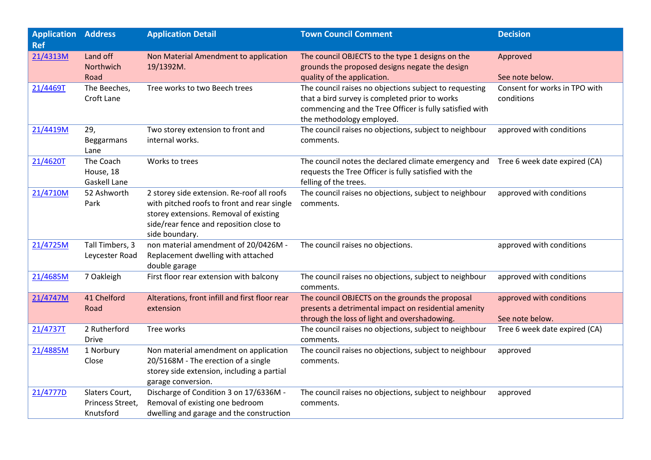| <b>Application</b><br><b>Ref</b> | <b>Address</b>                                  | <b>Application Detail</b>                                                                                                                                                                        | <b>Town Council Comment</b>                                                                                                                                                                      | <b>Decision</b>                             |
|----------------------------------|-------------------------------------------------|--------------------------------------------------------------------------------------------------------------------------------------------------------------------------------------------------|--------------------------------------------------------------------------------------------------------------------------------------------------------------------------------------------------|---------------------------------------------|
| 21/4313M                         | Land off<br>Northwich<br>Road                   | Non Material Amendment to application<br>19/1392M.                                                                                                                                               | The council OBJECTS to the type 1 designs on the<br>grounds the proposed designs negate the design<br>quality of the application.                                                                | Approved<br>See note below.                 |
| 21/4469T                         | The Beeches,<br>Croft Lane                      | Tree works to two Beech trees                                                                                                                                                                    | The council raises no objections subject to requesting<br>that a bird survey is completed prior to works<br>commencing and the Tree Officer is fully satisfied with<br>the methodology employed. | Consent for works in TPO with<br>conditions |
| 21/4419M                         | 29,<br>Beggarmans<br>Lane                       | Two storey extension to front and<br>internal works.                                                                                                                                             | The council raises no objections, subject to neighbour<br>comments.                                                                                                                              | approved with conditions                    |
| 21/4620T                         | The Coach<br>House, 18<br>Gaskell Lane          | Works to trees                                                                                                                                                                                   | The council notes the declared climate emergency and<br>requests the Tree Officer is fully satisfied with the<br>felling of the trees.                                                           | Tree 6 week date expired (CA)               |
| 21/4710M                         | 52 Ashworth<br>Park                             | 2 storey side extension. Re-roof all roofs<br>with pitched roofs to front and rear single<br>storey extensions. Removal of existing<br>side/rear fence and reposition close to<br>side boundary. | The council raises no objections, subject to neighbour<br>comments.                                                                                                                              | approved with conditions                    |
| 21/4725M                         | Tall Timbers, 3<br>Leycester Road               | non material amendment of 20/0426M -<br>Replacement dwelling with attached<br>double garage                                                                                                      | The council raises no objections.                                                                                                                                                                | approved with conditions                    |
| 21/4685M                         | 7 Oakleigh                                      | First floor rear extension with balcony                                                                                                                                                          | The council raises no objections, subject to neighbour<br>comments.                                                                                                                              | approved with conditions                    |
| 21/4747M                         | 41 Chelford<br>Road                             | Alterations, front infill and first floor rear<br>extension                                                                                                                                      | The council OBJECTS on the grounds the proposal<br>presents a detrimental impact on residential amenity<br>through the loss of light and overshadowing.                                          | approved with conditions<br>See note below. |
| 21/4737T                         | 2 Rutherford<br><b>Drive</b>                    | Tree works                                                                                                                                                                                       | The council raises no objections, subject to neighbour<br>comments.                                                                                                                              | Tree 6 week date expired (CA)               |
| 21/4885M                         | 1 Norbury<br>Close                              | Non material amendment on application<br>20/5168M - The erection of a single<br>storey side extension, including a partial<br>garage conversion.                                                 | The council raises no objections, subject to neighbour<br>comments.                                                                                                                              | approved                                    |
| 21/4777D                         | Slaters Court,<br>Princess Street,<br>Knutsford | Discharge of Condition 3 on 17/6336M -<br>Removal of existing one bedroom<br>dwelling and garage and the construction                                                                            | The council raises no objections, subject to neighbour<br>comments.                                                                                                                              | approved                                    |